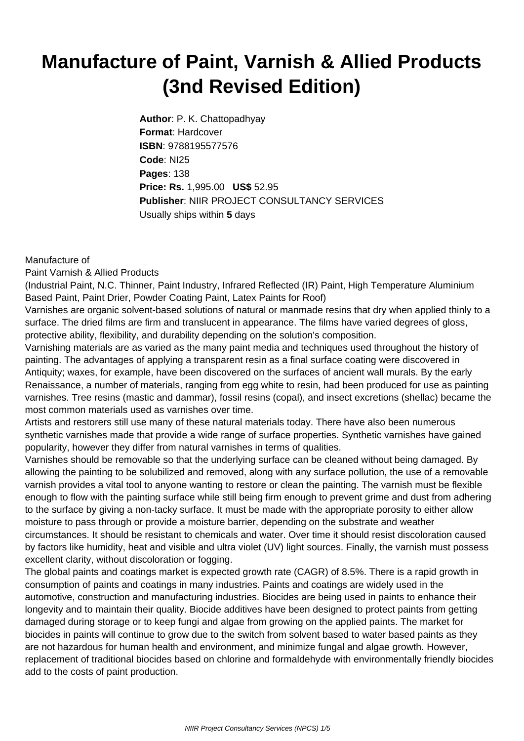## **Manufacture of Paint, Varnish & Allied Products (3nd Revised Edition)**

**Author**: P. K. Chattopadhyay **Format**: Hardcover **ISBN**: 9788195577576 **Code**: NI25 **Pages**: 138 **Price: Rs.** 1,995.00 **US\$** 52.95 **Publisher**: NIIR PROJECT CONSULTANCY SERVICES Usually ships within **5** days

## Manufacture of

Paint Varnish & Allied Products

(Industrial Paint, N.C. Thinner, Paint Industry, Infrared Reflected (IR) Paint, High Temperature Aluminium Based Paint, Paint Drier, Powder Coating Paint, Latex Paints for Roof)

Varnishes are organic solvent-based solutions of natural or manmade resins that dry when applied thinly to a surface. The dried films are firm and translucent in appearance. The films have varied degrees of gloss, protective ability, flexibility, and durability depending on the solution's composition.

Varnishing materials are as varied as the many paint media and techniques used throughout the history of painting. The advantages of applying a transparent resin as a final surface coating were discovered in Antiquity; waxes, for example, have been discovered on the surfaces of ancient wall murals. By the early Renaissance, a number of materials, ranging from egg white to resin, had been produced for use as painting varnishes. Tree resins (mastic and dammar), fossil resins (copal), and insect excretions (shellac) became the most common materials used as varnishes over time.

Artists and restorers still use many of these natural materials today. There have also been numerous synthetic varnishes made that provide a wide range of surface properties. Synthetic varnishes have gained popularity, however they differ from natural varnishes in terms of qualities.

Varnishes should be removable so that the underlying surface can be cleaned without being damaged. By allowing the painting to be solubilized and removed, along with any surface pollution, the use of a removable varnish provides a vital tool to anyone wanting to restore or clean the painting. The varnish must be flexible enough to flow with the painting surface while still being firm enough to prevent grime and dust from adhering to the surface by giving a non-tacky surface. It must be made with the appropriate porosity to either allow moisture to pass through or provide a moisture barrier, depending on the substrate and weather circumstances. It should be resistant to chemicals and water. Over time it should resist discoloration caused by factors like humidity, heat and visible and ultra violet (UV) light sources. Finally, the varnish must possess excellent clarity, without discoloration or fogging.

The global paints and coatings market is expected growth rate (CAGR) of 8.5%. There is a rapid growth in consumption of paints and coatings in many industries. Paints and coatings are widely used in the automotive, construction and manufacturing industries. Biocides are being used in paints to enhance their longevity and to maintain their quality. Biocide additives have been designed to protect paints from getting damaged during storage or to keep fungi and algae from growing on the applied paints. The market for biocides in paints will continue to grow due to the switch from solvent based to water based paints as they are not hazardous for human health and environment, and minimize fungal and algae growth. However, replacement of traditional biocides based on chlorine and formaldehyde with environmentally friendly biocides add to the costs of paint production.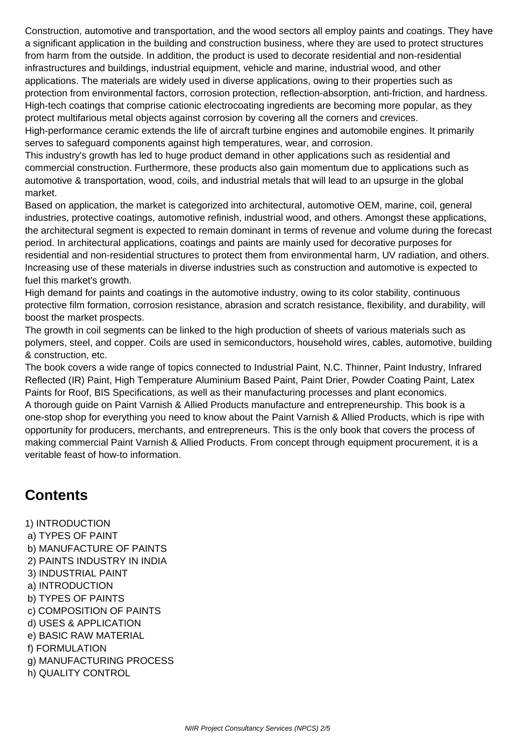Construction, automotive and transportation, and the wood sectors all employ paints and coatings. They have a significant application in the building and construction business, where they are used to protect structures from harm from the outside. In addition, the product is used to decorate residential and non-residential infrastructures and buildings, industrial equipment, vehicle and marine, industrial wood, and other applications. The materials are widely used in diverse applications, owing to their properties such as protection from environmental factors, corrosion protection, reflection-absorption, anti-friction, and hardness. High-tech coatings that comprise cationic electrocoating ingredients are becoming more popular, as they protect multifarious metal objects against corrosion by covering all the corners and crevices.

High-performance ceramic extends the life of aircraft turbine engines and automobile engines. It primarily serves to safeguard components against high temperatures, wear, and corrosion.

This industry's growth has led to huge product demand in other applications such as residential and commercial construction. Furthermore, these products also gain momentum due to applications such as automotive & transportation, wood, coils, and industrial metals that will lead to an upsurge in the global market.

Based on application, the market is categorized into architectural, automotive OEM, marine, coil, general industries, protective coatings, automotive refinish, industrial wood, and others. Amongst these applications, the architectural segment is expected to remain dominant in terms of revenue and volume during the forecast period. In architectural applications, coatings and paints are mainly used for decorative purposes for residential and non-residential structures to protect them from environmental harm, UV radiation, and others. Increasing use of these materials in diverse industries such as construction and automotive is expected to fuel this market's growth.

High demand for paints and coatings in the automotive industry, owing to its color stability, continuous protective film formation, corrosion resistance, abrasion and scratch resistance, flexibility, and durability, will boost the market prospects.

The growth in coil segments can be linked to the high production of sheets of various materials such as polymers, steel, and copper. Coils are used in semiconductors, household wires, cables, automotive, building & construction, etc.

The book covers a wide range of topics connected to Industrial Paint, N.C. Thinner, Paint Industry, Infrared Reflected (IR) Paint, High Temperature Aluminium Based Paint, Paint Drier, Powder Coating Paint, Latex Paints for Roof, BIS Specifications, as well as their manufacturing processes and plant economics. A thorough guide on Paint Varnish & Allied Products manufacture and entrepreneurship. This book is a one-stop shop for everything you need to know about the Paint Varnish & Allied Products, which is ripe with opportunity for producers, merchants, and entrepreneurs. This is the only book that covers the process of making commercial Paint Varnish & Allied Products. From concept through equipment procurement, it is a veritable feast of how-to information.

## **Contents**

1) INTRODUCTION a) TYPES OF PAINT b) MANUFACTURE OF PAINTS 2) PAINTS INDUSTRY IN INDIA 3) INDUSTRIAL PAINT a) INTRODUCTION b) TYPES OF PAINTS c) COMPOSITION OF PAINTS d) USES & APPLICATION e) BASIC RAW MATERIAL f) FORMULATION g) MANUFACTURING PROCESS h) QUALITY CONTROL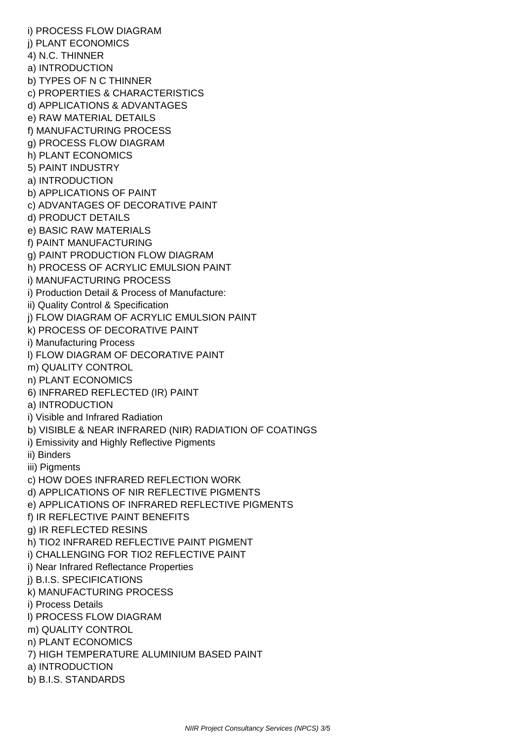i) PROCESS FLOW DIAGRAM j) PLANT ECONOMICS 4) N.C. THINNER a) INTRODUCTION b) TYPES OF N C THINNER c) PROPERTIES & CHARACTERISTICS d) APPLICATIONS & ADVANTAGES e) RAW MATERIAL DETAILS f) MANUFACTURING PROCESS g) PROCESS FLOW DIAGRAM h) PLANT ECONOMICS 5) PAINT INDUSTRY a) INTRODUCTION b) APPLICATIONS OF PAINT c) ADVANTAGES OF DECORATIVE PAINT d) PRODUCT DETAILS e) BASIC RAW MATERIALS f) PAINT MANUFACTURING g) PAINT PRODUCTION FLOW DIAGRAM h) PROCESS OF ACRYLIC EMULSION PAINT i) MANUFACTURING PROCESS i) Production Detail & Process of Manufacture: ii) Quality Control & Specification j) FLOW DIAGRAM OF ACRYLIC EMULSION PAINT k) PROCESS OF DECORATIVE PAINT i) Manufacturing Process l) FLOW DIAGRAM OF DECORATIVE PAINT m) QUALITY CONTROL n) PLANT ECONOMICS 6) INFRARED REFLECTED (IR) PAINT a) INTRODUCTION i) Visible and Infrared Radiation b) VISIBLE & NEAR INFRARED (NIR) RADIATION OF COATINGS i) Emissivity and Highly Reflective Pigments ii) Binders iii) Piaments c) HOW DOES INFRARED REFLECTION WORK d) APPLICATIONS OF NIR REFLECTIVE PIGMENTS e) APPLICATIONS OF INFRARED REFLECTIVE PIGMENTS f) IR REFLECTIVE PAINT BENEFITS g) IR REFLECTED RESINS h) TIO2 INFRARED REFLECTIVE PAINT PIGMENT i) CHALLENGING FOR TIO2 REFLECTIVE PAINT i) Near Infrared Reflectance Properties j) B.I.S. SPECIFICATIONS k) MANUFACTURING PROCESS i) Process Details l) PROCESS FLOW DIAGRAM m) QUALITY CONTROL n) PLANT ECONOMICS 7) HIGH TEMPERATURE ALUMINIUM BASED PAINT a) INTRODUCTION b) B.I.S. STANDARDS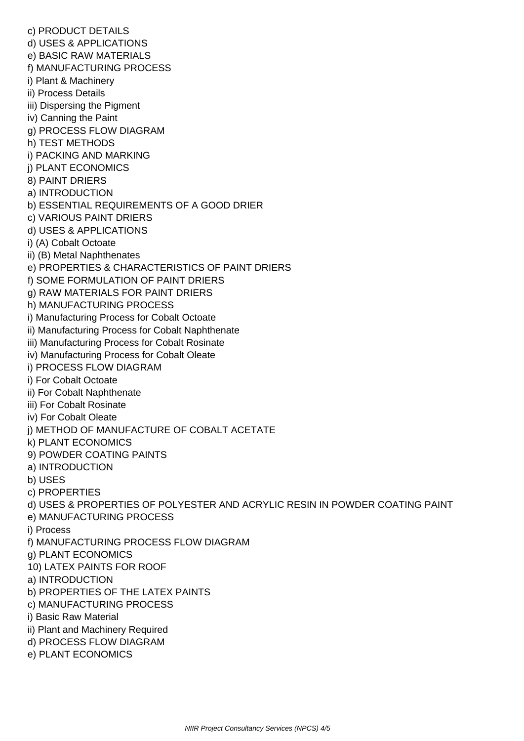c) PRODUCT DETAILS d) USES & APPLICATIONS e) BASIC RAW MATERIALS f) MANUFACTURING PROCESS i) Plant & Machinery ii) Process Details iii) Dispersing the Pigment iv) Canning the Paint g) PROCESS FLOW DIAGRAM h) TEST METHODS i) PACKING AND MARKING j) PLANT ECONOMICS 8) PAINT DRIERS a) INTRODUCTION b) ESSENTIAL REQUIREMENTS OF A GOOD DRIER c) VARIOUS PAINT DRIERS d) USES & APPLICATIONS i) (A) Cobalt Octoate ii) (B) Metal Naphthenates e) PROPERTIES & CHARACTERISTICS OF PAINT DRIERS f) SOME FORMULATION OF PAINT DRIERS g) RAW MATERIALS FOR PAINT DRIERS h) MANUFACTURING PROCESS i) Manufacturing Process for Cobalt Octoate ii) Manufacturing Process for Cobalt Naphthenate iii) Manufacturing Process for Cobalt Rosinate iv) Manufacturing Process for Cobalt Oleate i) PROCESS FLOW DIAGRAM i) For Cobalt Octoate ii) For Cobalt Naphthenate iii) For Cobalt Rosinate iv) For Cobalt Oleate j) METHOD OF MANUFACTURE OF COBALT ACETATE k) PLANT ECONOMICS 9) POWDER COATING PAINTS a) INTRODUCTION b) USES c) PROPERTIES d) USES & PROPERTIES OF POLYESTER AND ACRYLIC RESIN IN POWDER COATING PAINT e) MANUFACTURING PROCESS i) Process f) MANUFACTURING PROCESS FLOW DIAGRAM g) PLANT ECONOMICS 10) LATEX PAINTS FOR ROOF a) INTRODUCTION b) PROPERTIES OF THE LATEX PAINTS c) MANUFACTURING PROCESS i) Basic Raw Material ii) Plant and Machinery Required d) PROCESS FLOW DIAGRAM e) PLANT ECONOMICS